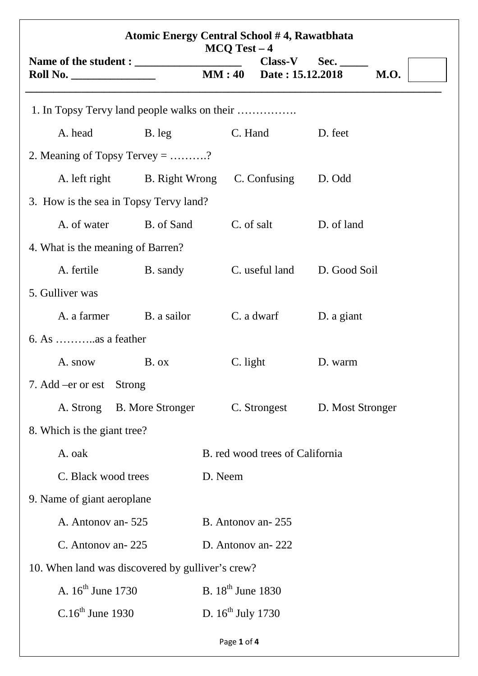| <b>Atomic Energy Central School #4, Rawatbhata</b><br>$MCO$ Test $-4$ |                         |                                 |                               |                  |             |  |  |
|-----------------------------------------------------------------------|-------------------------|---------------------------------|-------------------------------|------------------|-------------|--|--|
| <b>Roll No. _____________________</b>                                 |                         | MM:40                           | $Class-V$<br>Date: 15.12.2018 | Sec.             | <b>M.O.</b> |  |  |
|                                                                       |                         |                                 |                               |                  |             |  |  |
| A. head                                                               | B. leg                  | C. Hand                         |                               | D. feet          |             |  |  |
| 2. Meaning of Topsy Tervey = ?                                        |                         |                                 |                               |                  |             |  |  |
| A. left right                                                         | B. Right Wrong          | C. Confusing                    |                               | D. Odd           |             |  |  |
| 3. How is the sea in Topsy Tervy land?                                |                         |                                 |                               |                  |             |  |  |
| A. of water                                                           | B. of Sand              | C. of salt                      |                               | D. of land       |             |  |  |
| 4. What is the meaning of Barren?                                     |                         |                                 |                               |                  |             |  |  |
| A. fertile                                                            | B. sandy                |                                 | C. useful land                | D. Good Soil     |             |  |  |
| 5. Gulliver was                                                       |                         |                                 |                               |                  |             |  |  |
| A. a farmer                                                           | B. a sailor             |                                 | C. a dwarf                    | D. a giant       |             |  |  |
| $6. As$ as a feather                                                  |                         |                                 |                               |                  |             |  |  |
| A. snow                                                               | $B.$ $\alpha$           | C. light                        |                               | D. warm          |             |  |  |
| 7. Add –er or est Strong                                              |                         |                                 |                               |                  |             |  |  |
| A. Strong                                                             | <b>B.</b> More Stronger | C. Strongest                    |                               | D. Most Stronger |             |  |  |
| 8. Which is the giant tree?                                           |                         |                                 |                               |                  |             |  |  |
| A. oak                                                                |                         | B. red wood trees of California |                               |                  |             |  |  |
| C. Black wood trees                                                   |                         | D. Neem                         |                               |                  |             |  |  |
| 9. Name of giant aeroplane                                            |                         |                                 |                               |                  |             |  |  |
| A. Antonov an-525                                                     |                         | B. Antonov an-255               |                               |                  |             |  |  |
| C. Antonov an-225                                                     |                         | D. Antonov an-222               |                               |                  |             |  |  |
| 10. When land was discovered by gulliver's crew?                      |                         |                                 |                               |                  |             |  |  |
| A. $16^{th}$ June 1730                                                |                         | B. $18^{th}$ June 1830          |                               |                  |             |  |  |
| $C.16th$ June 1930                                                    |                         | D. $16^{th}$ July 1730          |                               |                  |             |  |  |
|                                                                       |                         | Page 1 of 4                     |                               |                  |             |  |  |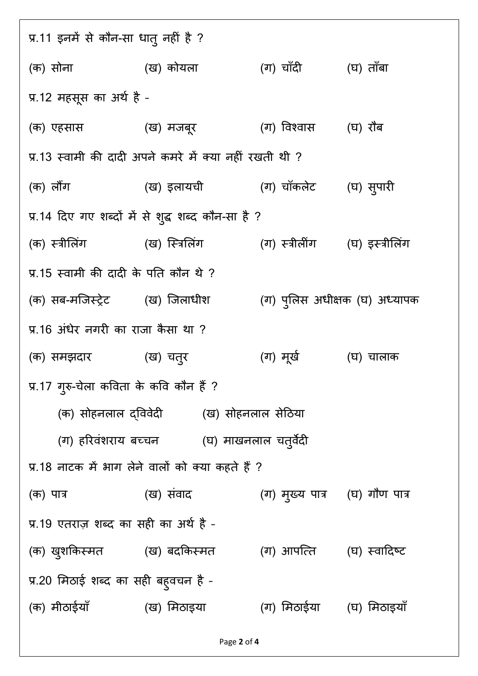प्र.11 इनमें से कौन-सा धातु नहीं है ? (क) सोना (ख) कोयला (ग) चाँदी (घ) ताँबा प्र.12 महसूस का अर्थ है -(क) एहसास (ख) मजबूर (ग) विश्वास (घ) रौब प्र.13 स्वामी की दादी अपने कमरे में क्या नहीं रखती थी ? (क) लौंग (ख) इलायची (ग) चॉकलेट (घ) सुपारी प्र.14 दिए गए शब्दों में से शुद्ध शब्द कौन-सा है ? (क) स्त्रीलिंग ''' (ख) स्त्रिलिंग ''' (ग) स्त्रीलींग '' (घ) इस्त्रीलिंग प्र.15 स्वामी की दादी के पति कौन थे ? (क) सब-मजिस्ट्रेट (ख) जिलाधीश (ग) प्लिस अधीक्षक (घ) अध्यापक प्र.16 अंधेर नगरी का राजा कैसा था ? (क) समझदार (ख) चतुर (ग) मख' (घ) चालाक ू प्र.17 गुरु-चेला कविता के कवि कौन है ? (क) सोहनलाल दविवेदी (ख) सोहनलाल सेठिया (ग) हरिवशराय बच्चन (घ) माखनलाल चतुर्वेदी प्र.18 नाटक में भाग लेने वालों को क्या कहते हैं ? (क) पात्र (ख) संवाद (ग) मुख्य पात्र (घ) गौण पात्र प्र.19 एतराज़ शब्द का सही का अर्थ है -(क) खुशकिस्मत (ख) बदकिस्मत (ग) आपत्ति (घ) स्वादिष्ट प्र.20 मिठाई शब्द का सही बहुवचन है -(क) मीठाईयाँ (ख) मिठाइया (ग) मिठाईया (घ) मिठाइयाँ

Page 2 of 4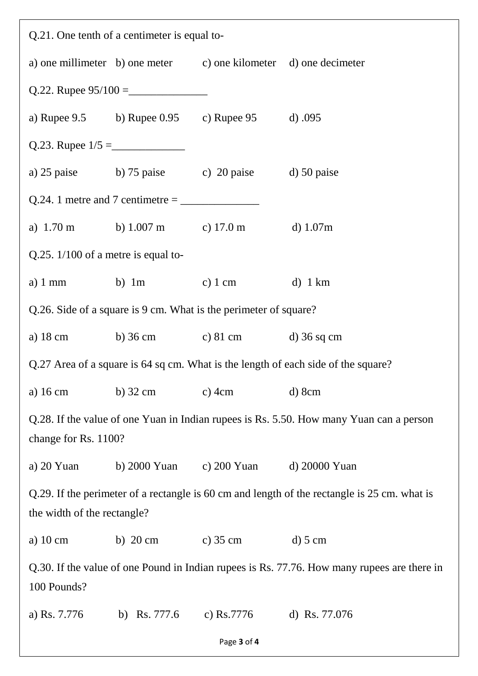| Q.21. One tenth of a centimeter is equal to-                                                                                |                                       |                                                                  |                 |  |  |  |  |
|-----------------------------------------------------------------------------------------------------------------------------|---------------------------------------|------------------------------------------------------------------|-----------------|--|--|--|--|
|                                                                                                                             |                                       | a) one millimeter b) one meter c) one kilometer d) one decimeter |                 |  |  |  |  |
|                                                                                                                             |                                       |                                                                  |                 |  |  |  |  |
|                                                                                                                             |                                       | a) Rupee 9.5 b) Rupee 0.95 c) Rupee 95 d) 0.095                  |                 |  |  |  |  |
|                                                                                                                             |                                       |                                                                  |                 |  |  |  |  |
|                                                                                                                             |                                       | a) 25 paise b) 75 paise c) 20 paise d) 50 paise                  |                 |  |  |  |  |
|                                                                                                                             |                                       |                                                                  |                 |  |  |  |  |
|                                                                                                                             |                                       | a) 1.70 m b) 1.007 m c) 17.0 m d) 1.07m                          |                 |  |  |  |  |
| Q.25. $1/100$ of a metre is equal to-                                                                                       |                                       |                                                                  |                 |  |  |  |  |
|                                                                                                                             |                                       | a) 1 mm b) 1 m c) 1 cm d) 1 km                                   |                 |  |  |  |  |
| Q.26. Side of a square is 9 cm. What is the perimeter of square?                                                            |                                       |                                                                  |                 |  |  |  |  |
|                                                                                                                             |                                       | a) 18 cm b) 36 cm c) 81 cm d) 36 sq cm                           |                 |  |  |  |  |
| Q.27 Area of a square is 64 sq cm. What is the length of each side of the square?                                           |                                       |                                                                  |                 |  |  |  |  |
| a) $16 \text{ cm}$                                                                                                          | b) $32 \text{ cm}$ c) $4 \text{ cm}$  |                                                                  | $d)$ 8cm        |  |  |  |  |
| Q.28. If the value of one Yuan in Indian rupees is Rs. 5.50. How many Yuan can a person                                     |                                       |                                                                  |                 |  |  |  |  |
| change for Rs. 1100?                                                                                                        |                                       |                                                                  |                 |  |  |  |  |
| a) $20$ Yuan                                                                                                                |                                       | b) 2000 Yuan c) 200 Yuan                                         | d) 20000 Yuan   |  |  |  |  |
| Q.29. If the perimeter of a rectangle is 60 cm and length of the rectangle is 25 cm. what is<br>the width of the rectangle? |                                       |                                                                  |                 |  |  |  |  |
| a) $10 \text{ cm}$                                                                                                          | b) $20 \text{ cm}$ c) $35 \text{ cm}$ |                                                                  | $d)$ 5 cm       |  |  |  |  |
| Q.30. If the value of one Pound in Indian rupees is Rs. 77.76. How many rupees are there in<br>100 Pounds?                  |                                       |                                                                  |                 |  |  |  |  |
| a) Rs. 7.776                                                                                                                |                                       | b) Rs. 777.6 c) Rs. 7776                                         | d) Rs. $77.076$ |  |  |  |  |

Page 3 of 4